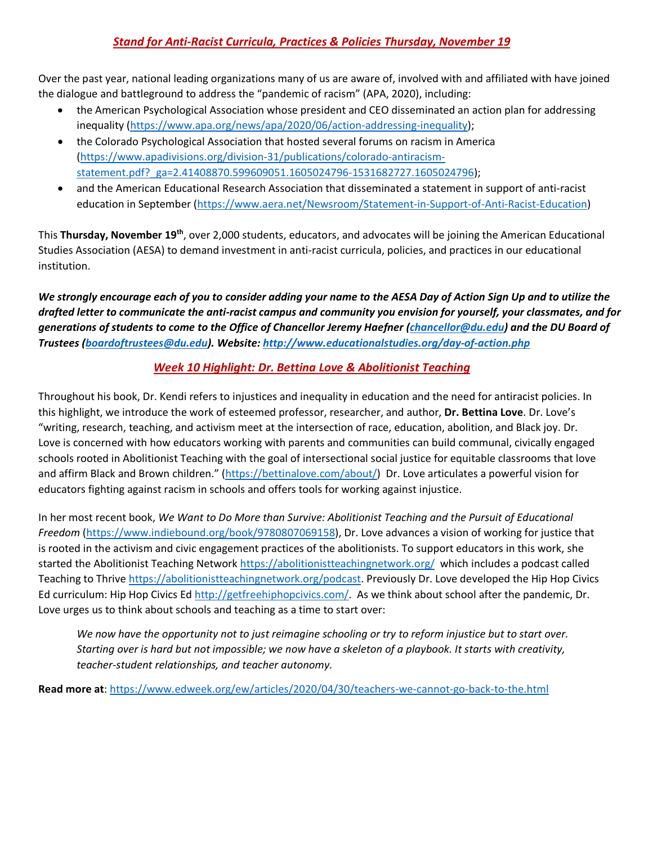# *Stand for Anti-Racist Curricula, Practices & Policies Thursday, November 19*

Over the past year, national leading organizations many of us are aware of, involved with and affiliated with have joined the dialogue and battleground to address the "pandemic of racism" (APA, 2020), including:

- the American Psychological Association whose president and CEO disseminated an action plan for addressing inequality [\(https://www.apa.org/news/apa/2020/06/action-addressing-inequality\)](https://www.apa.org/news/apa/2020/06/action-addressing-inequality);
- the Colorado Psychological Association that hosted several forums on racism in America [\(https://www.apadivisions.org/division-31/publications/colorado-antiracism](https://www.apadivisions.org/division-31/publications/colorado-antiracism-statement.pdf?_ga=2.41408870.599609051.1605024796-1531682727.1605024796)[statement.pdf?\\_ga=2.41408870.599609051.1605024796-1531682727.1605024796\)](https://www.apadivisions.org/division-31/publications/colorado-antiracism-statement.pdf?_ga=2.41408870.599609051.1605024796-1531682727.1605024796);
- and the American Educational Research Association that disseminated a statement in support of anti-racist education in September [\(https://www.aera.net/Newsroom/Statement-in-Support-of-Anti-Racist-Education\)](https://www.aera.net/Newsroom/Statement-in-Support-of-Anti-Racist-Education)

This **Thursday, November 19th**, over 2,000 students, educators, and advocates will be joining the American Educational Studies Association (AESA) to demand investment in anti-racist curricula, policies, and practices in our educational institution.

*We strongly encourage each of you to consider adding your name to the AESA Day of Action Sign Up and to utilize the drafted letter to communicate the anti-racist campus and community you envision for yourself, your classmates, and for generations of students to come to the Office of Chancellor Jeremy Haefner [\(chancellor@du.edu\)](mailto:chancellor@du.edu) and the DU Board of Trustees [\(boardoftrustees@du.edu\)](mailto:boardoftrustees@du.edu). Website[: http://www.educationalstudies.org/day-of-action.php](http://www.educationalstudies.org/day-of-action.php)*

## *Week 10 Highlight: Dr. Bettina Love & Abolitionist Teaching*

Throughout his book, Dr. Kendi refers to injustices and inequality in education and the need for antiracist policies. In this highlight, we introduce the work of esteemed professor, researcher, and author, **Dr. Bettina Love**. Dr. Love's "writing, research, teaching, and activism meet at the intersection of race, education, abolition, and Black joy. Dr. Love is concerned with how educators working with parents and communities can build communal, civically engaged schools rooted in Abolitionist Teaching with the goal of intersectional social justice for equitable classrooms that love and affirm Black and Brown children." [\(https://bettinalove.com/about/\)](https://bettinalove.com/about/) Dr. Love articulates a powerful vision for educators fighting against racism in schools and offers tools for working against injustice.

In her most recent book, *We Want to Do More than Survive: Abolitionist Teaching and the Pursuit of Educational Freedom* [\(https://www.indiebound.org/book/9780807069158\)](https://www.indiebound.org/book/9780807069158), Dr. Love advances a vision of working for justice that is rooted in the activism and civic engagement practices of the abolitionists. To support educators in this work, she started the Abolitionist Teaching Network<https://abolitionistteachingnetwork.org/> which includes a podcast called Teaching to Thrive [https://abolitionistteachingnetwork.org/podcast.](https://abolitionistteachingnetwork.org/podcast) Previously Dr. Love developed the Hip Hop Civics Ed curriculum: Hip Hop Civics E[d http://getfreehiphopcivics.com/.](http://getfreehiphopcivics.com/) As we think about school after the pandemic, Dr. Love urges us to think about schools and teaching as a time to start over:

*We now have the opportunity not to just reimagine schooling or try to reform injustice but to start over. Starting over is hard but not impossible; we now have a skeleton of a playbook. It starts with creativity, teacher-student relationships, and teacher autonomy.* 

**Read more at**:<https://www.edweek.org/ew/articles/2020/04/30/teachers-we-cannot-go-back-to-the.html>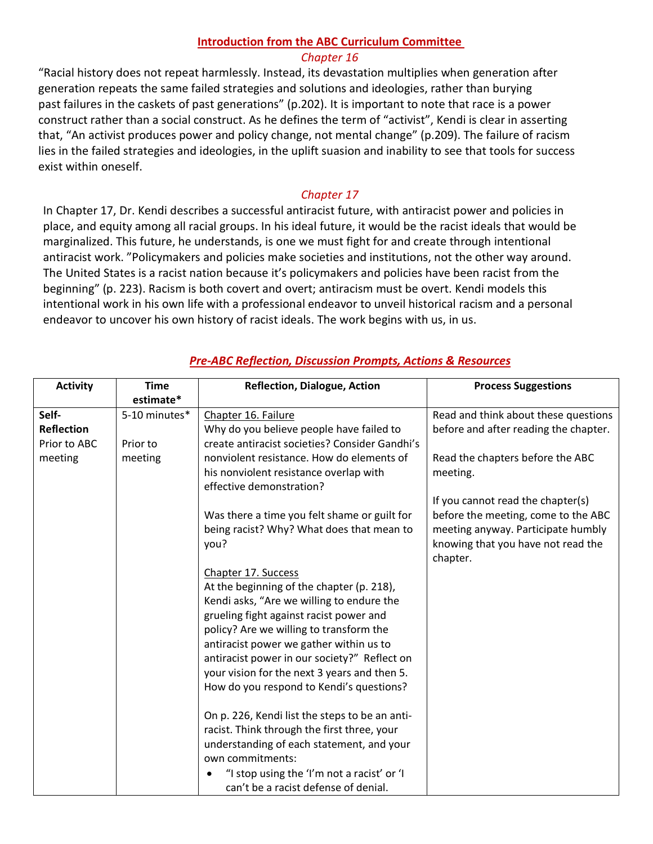## **Introduction from the ABC Curriculum Committee**

#### *Chapter 16*

"Racial history does not repeat harmlessly. Instead, its devastation multiplies when generation after generation repeats the same failed strategies and solutions and ideologies, rather than burying past failures in the caskets of past generations" (p.202). It is important to note that race is a power construct rather than a social construct. As he defines the term of "activist", Kendi is clear in asserting that, "An activist produces power and policy change, not mental change" (p.209). The failure of racism lies in the failed strategies and ideologies, in the uplift suasion and inability to see that tools for success exist within oneself.

### *Chapter 17*

In Chapter 17, Dr. Kendi describes a successful antiracist future, with antiracist power and policies in place, and equity among all racial groups. In his ideal future, it would be the racist ideals that would be marginalized. This future, he understands, is one we must fight for and create through intentional antiracist work. "Policymakers and policies make societies and institutions, not the other way around. The United States is a racist nation because it's policymakers and policies have been racist from the beginning" (p. 223). Racism is both covert and overt; antiracism must be overt. Kendi models this intentional work in his own life with a professional endeavor to unveil historical racism and a personal endeavor to uncover his own history of racist ideals. The work begins with us, in us.

| <b>Activity</b>   | <b>Time</b><br>estimate* | <b>Reflection, Dialogue, Action</b>            | <b>Process Suggestions</b>            |
|-------------------|--------------------------|------------------------------------------------|---------------------------------------|
| Self-             | 5-10 minutes*            | Chapter 16. Failure                            | Read and think about these questions  |
| <b>Reflection</b> |                          | Why do you believe people have failed to       | before and after reading the chapter. |
| Prior to ABC      | Prior to                 | create antiracist societies? Consider Gandhi's |                                       |
| meeting           | meeting                  | nonviolent resistance. How do elements of      | Read the chapters before the ABC      |
|                   |                          | his nonviolent resistance overlap with         | meeting.                              |
|                   |                          | effective demonstration?                       |                                       |
|                   |                          |                                                | If you cannot read the chapter(s)     |
|                   |                          | Was there a time you felt shame or guilt for   | before the meeting, come to the ABC   |
|                   |                          | being racist? Why? What does that mean to      | meeting anyway. Participate humbly    |
|                   |                          | you?                                           | knowing that you have not read the    |
|                   |                          |                                                | chapter.                              |
|                   |                          | Chapter 17. Success                            |                                       |
|                   |                          | At the beginning of the chapter (p. 218),      |                                       |
|                   |                          | Kendi asks, "Are we willing to endure the      |                                       |
|                   |                          | grueling fight against racist power and        |                                       |
|                   |                          | policy? Are we willing to transform the        |                                       |
|                   |                          | antiracist power we gather within us to        |                                       |
|                   |                          | antiracist power in our society?" Reflect on   |                                       |
|                   |                          | your vision for the next 3 years and then 5.   |                                       |
|                   |                          | How do you respond to Kendi's questions?       |                                       |
|                   |                          | On p. 226, Kendi list the steps to be an anti- |                                       |
|                   |                          | racist. Think through the first three, your    |                                       |
|                   |                          | understanding of each statement, and your      |                                       |
|                   |                          | own commitments:                               |                                       |
|                   |                          | "I stop using the 'I'm not a racist' or 'I     |                                       |
|                   |                          | can't be a racist defense of denial.           |                                       |

### *Pre-ABC Reflection, Discussion Prompts, Actions & Resources*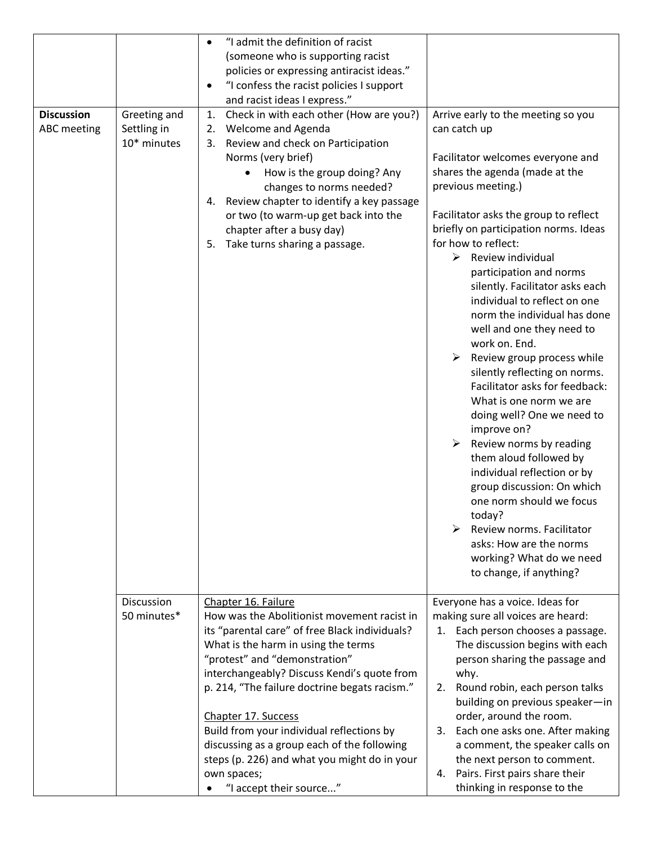| <b>Discussion</b><br><b>ABC</b> meeting | Greeting and<br>Settling in<br>10* minutes | "I admit the definition of racist<br>$\bullet$<br>(someone who is supporting racist<br>policies or expressing antiracist ideas."<br>"I confess the racist policies I support<br>$\bullet$<br>and racist ideas I express."<br>Check in with each other (How are you?)<br>1.<br>Welcome and Agenda<br>2.<br>Review and check on Participation<br>3.<br>Norms (very brief)<br>How is the group doing? Any<br>changes to norms needed?<br>Review chapter to identify a key passage<br>4.<br>or two (to warm-up get back into the<br>chapter after a busy day)<br>Take turns sharing a passage.<br>5. | Arrive early to the meeting so you<br>can catch up<br>Facilitator welcomes everyone and<br>shares the agenda (made at the<br>previous meeting.)<br>Facilitator asks the group to reflect<br>briefly on participation norms. Ideas<br>for how to reflect:<br>$\blacktriangleright$<br>Review individual<br>participation and norms<br>silently. Facilitator asks each<br>individual to reflect on one<br>norm the individual has done<br>well and one they need to<br>work on. End.<br>Review group process while<br>➤<br>silently reflecting on norms.<br>Facilitator asks for feedback:<br>What is one norm we are<br>doing well? One we need to<br>improve on?<br>Review norms by reading<br>them aloud followed by<br>individual reflection or by<br>group discussion: On which<br>one norm should we focus<br>today?<br>⋗<br>Review norms. Facilitator |
|-----------------------------------------|--------------------------------------------|--------------------------------------------------------------------------------------------------------------------------------------------------------------------------------------------------------------------------------------------------------------------------------------------------------------------------------------------------------------------------------------------------------------------------------------------------------------------------------------------------------------------------------------------------------------------------------------------------|------------------------------------------------------------------------------------------------------------------------------------------------------------------------------------------------------------------------------------------------------------------------------------------------------------------------------------------------------------------------------------------------------------------------------------------------------------------------------------------------------------------------------------------------------------------------------------------------------------------------------------------------------------------------------------------------------------------------------------------------------------------------------------------------------------------------------------------------------------|
|                                         |                                            |                                                                                                                                                                                                                                                                                                                                                                                                                                                                                                                                                                                                  | asks: How are the norms<br>working? What do we need<br>to change, if anything?                                                                                                                                                                                                                                                                                                                                                                                                                                                                                                                                                                                                                                                                                                                                                                             |
|                                         | Discussion                                 | Chapter 16. Failure                                                                                                                                                                                                                                                                                                                                                                                                                                                                                                                                                                              | Everyone has a voice. Ideas for                                                                                                                                                                                                                                                                                                                                                                                                                                                                                                                                                                                                                                                                                                                                                                                                                            |
|                                         | 50 minutes*                                | How was the Abolitionist movement racist in<br>its "parental care" of free Black individuals?<br>What is the harm in using the terms<br>"protest" and "demonstration"<br>interchangeably? Discuss Kendi's quote from<br>p. 214, "The failure doctrine begats racism."<br>Chapter 17. Success                                                                                                                                                                                                                                                                                                     | making sure all voices are heard:<br>1. Each person chooses a passage.<br>The discussion begins with each<br>person sharing the passage and<br>why.<br>Round robin, each person talks<br>2.<br>building on previous speaker-in<br>order, around the room.                                                                                                                                                                                                                                                                                                                                                                                                                                                                                                                                                                                                  |
|                                         |                                            | Build from your individual reflections by<br>discussing as a group each of the following<br>steps (p. 226) and what you might do in your<br>own spaces;<br>"I accept their source"                                                                                                                                                                                                                                                                                                                                                                                                               | 3. Each one asks one. After making<br>a comment, the speaker calls on<br>the next person to comment.<br>Pairs. First pairs share their<br>4.<br>thinking in response to the                                                                                                                                                                                                                                                                                                                                                                                                                                                                                                                                                                                                                                                                                |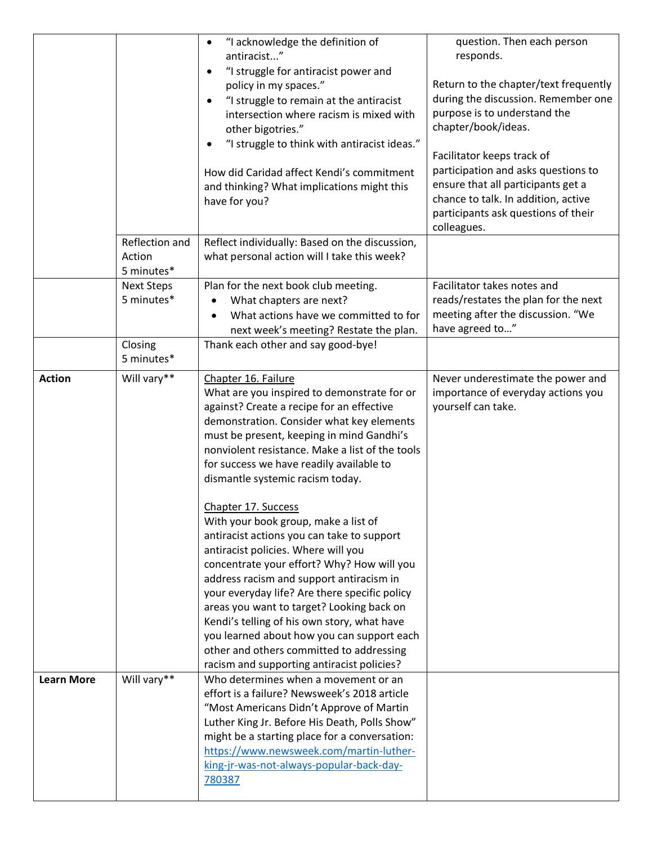|                   | Reflection and                  | "I acknowledge the definition of<br>$\bullet$<br>antiracist"<br>"I struggle for antiracist power and<br>$\bullet$<br>policy in my spaces."<br>"I struggle to remain at the antiracist<br>$\bullet$<br>intersection where racism is mixed with<br>other bigotries."<br>"I struggle to think with antiracist ideas."<br>$\bullet$<br>How did Caridad affect Kendi's commitment<br>and thinking? What implications might this<br>have for you?<br>Reflect individually: Based on the discussion,                                                                                                                                                                                                                                                                                                                                                                                   | question. Then each person<br>responds.<br>Return to the chapter/text frequently<br>during the discussion. Remember one<br>purpose is to understand the<br>chapter/book/ideas.<br>Facilitator keeps track of<br>participation and asks questions to<br>ensure that all participants get a<br>chance to talk. In addition, active<br>participants ask questions of their<br>colleagues. |
|-------------------|---------------------------------|---------------------------------------------------------------------------------------------------------------------------------------------------------------------------------------------------------------------------------------------------------------------------------------------------------------------------------------------------------------------------------------------------------------------------------------------------------------------------------------------------------------------------------------------------------------------------------------------------------------------------------------------------------------------------------------------------------------------------------------------------------------------------------------------------------------------------------------------------------------------------------|----------------------------------------------------------------------------------------------------------------------------------------------------------------------------------------------------------------------------------------------------------------------------------------------------------------------------------------------------------------------------------------|
|                   | Action<br>5 minutes*            | what personal action will I take this week?                                                                                                                                                                                                                                                                                                                                                                                                                                                                                                                                                                                                                                                                                                                                                                                                                                     |                                                                                                                                                                                                                                                                                                                                                                                        |
|                   | <b>Next Steps</b><br>5 minutes* | Plan for the next book club meeting.<br>What chapters are next?<br>What actions have we committed to for<br>$\bullet$<br>next week's meeting? Restate the plan.                                                                                                                                                                                                                                                                                                                                                                                                                                                                                                                                                                                                                                                                                                                 | Facilitator takes notes and<br>reads/restates the plan for the next<br>meeting after the discussion. "We<br>have agreed to"                                                                                                                                                                                                                                                            |
|                   | Closing<br>5 minutes*           | Thank each other and say good-bye!                                                                                                                                                                                                                                                                                                                                                                                                                                                                                                                                                                                                                                                                                                                                                                                                                                              |                                                                                                                                                                                                                                                                                                                                                                                        |
| <b>Action</b>     | Will vary**                     | Chapter 16. Failure<br>What are you inspired to demonstrate for or<br>against? Create a recipe for an effective<br>demonstration. Consider what key elements<br>must be present, keeping in mind Gandhi's<br>nonviolent resistance. Make a list of the tools<br>for success we have readily available to<br>dismantle systemic racism today.<br>Chapter 17. Success<br>With your book group, make a list of<br>antiracist actions you can take to support<br>antiracist policies. Where will you<br>concentrate your effort? Why? How will you<br>address racism and support antiracism in<br>your everyday life? Are there specific policy<br>areas you want to target? Looking back on<br>Kendi's telling of his own story, what have<br>you learned about how you can support each<br>other and others committed to addressing<br>racism and supporting antiracist policies? | Never underestimate the power and<br>importance of everyday actions you<br>yourself can take.                                                                                                                                                                                                                                                                                          |
| <b>Learn More</b> | Will vary**                     | Who determines when a movement or an<br>effort is a failure? Newsweek's 2018 article<br>"Most Americans Didn't Approve of Martin<br>Luther King Jr. Before His Death, Polls Show"<br>might be a starting place for a conversation:<br>https://www.newsweek.com/martin-luther-<br>king-jr-was-not-always-popular-back-day-<br>780387                                                                                                                                                                                                                                                                                                                                                                                                                                                                                                                                             |                                                                                                                                                                                                                                                                                                                                                                                        |